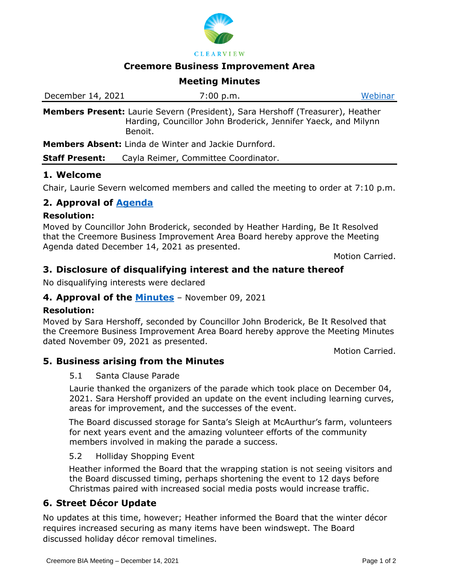

**CLEARVIEW** 

### **Creemore Business Improvement Area**

# **Meeting Minutes**

| December 14, 2021 | 7:00 p.m.                                                                                                                                        | Webinar |
|-------------------|--------------------------------------------------------------------------------------------------------------------------------------------------|---------|
| Benoit.           | Members Present: Laurie Severn (President), Sara Hershoff (Treasurer), Heather<br>Harding, Councillor John Broderick, Jennifer Yaeck, and Milynn |         |

**Members Absent:** Linda de Winter and Jackie Durnford.

**Staff Present:** Cayla Reimer, Committee Coordinator.

# **1. Welcome**

Chair, Laurie Severn welcomed members and called the meeting to order at 7:10 p.m.

# **2. Approval of [Agenda](https://www.clearview.ca/file/230905/download?token=AR2uRBl3)**

#### **Resolution:**

Moved by Councillor John Broderick, seconded by Heather Harding, Be It Resolved that the Creemore Business Improvement Area Board hereby approve the Meeting Agenda dated December 14, 2021 as presented.

Motion Carried.

# **3. Disclosure of disqualifying interest and the nature thereof**

No disqualifying interests were declared

# **4. Approval of the [Minutes](https://www.clearview.ca/file/230943/download?token=q9ja2U4D)** – November 09, 2021

#### **Resolution:**

Moved by Sara Hershoff, seconded by Councillor John Broderick, Be It Resolved that the Creemore Business Improvement Area Board hereby approve the Meeting Minutes dated November 09, 2021 as presented.

Motion Carried.

# **5. Business arising from the Minutes**

#### 5.1 Santa Clause Parade

Laurie thanked the organizers of the parade which took place on December 04, 2021. Sara Hershoff provided an update on the event including learning curves, areas for improvement, and the successes of the event.

The Board discussed storage for Santa's Sleigh at McAurthur's farm, volunteers for next years event and the amazing volunteer efforts of the community members involved in making the parade a success.

#### 5.2 Holliday Shopping Event

Heather informed the Board that the wrapping station is not seeing visitors and the Board discussed timing, perhaps shortening the event to 12 days before Christmas paired with increased social media posts would increase traffic.

# **6. Street Décor Update**

No updates at this time, however; Heather informed the Board that the winter décor requires increased securing as many items have been windswept. The Board discussed holiday décor removal timelines.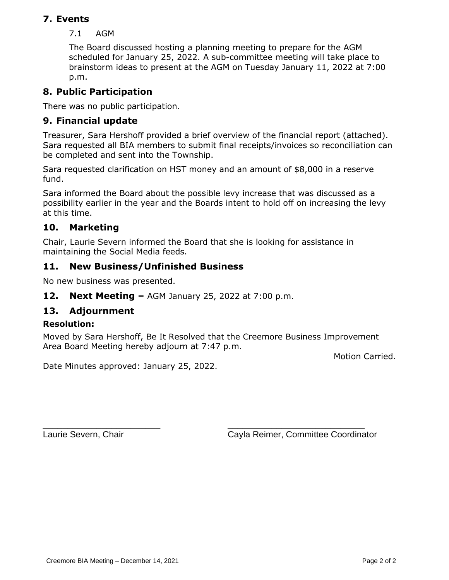# **7. Events**

7.1 AGM

The Board discussed hosting a planning meeting to prepare for the AGM scheduled for January 25, 2022. A sub-committee meeting will take place to brainstorm ideas to present at the AGM on Tuesday January 11, 2022 at 7:00 p.m.

# **8. Public Participation**

There was no public participation.

# **9. Financial update**

Treasurer, Sara Hershoff provided a brief overview of the financial report (attached). Sara requested all BIA members to submit final receipts/invoices so reconciliation can be completed and sent into the Township.

Sara requested clarification on HST money and an amount of \$8,000 in a reserve fund.

Sara informed the Board about the possible levy increase that was discussed as a possibility earlier in the year and the Boards intent to hold off on increasing the levy at this time.

# **10. Marketing**

Chair, Laurie Severn informed the Board that she is looking for assistance in maintaining the Social Media feeds.

# **11. New Business/Unfinished Business**

No new business was presented.

**12. Next Meeting –** AGM January 25, 2022 at 7:00 p.m.

# **13. Adjournment**

# **Resolution:**

Moved by Sara Hershoff, Be It Resolved that the Creemore Business Improvement Area Board Meeting hereby adjourn at 7:47 p.m.

Motion Carried.

Date Minutes approved: January 25, 2022.

\_\_\_\_\_\_\_\_\_\_\_\_\_\_\_\_\_\_\_\_\_\_\_\_ \_\_\_\_\_\_\_\_\_\_\_\_\_\_\_\_\_\_\_\_\_\_\_\_\_\_\_\_ Laurie Severn, Chair Cayla Reimer, Committee Coordinator